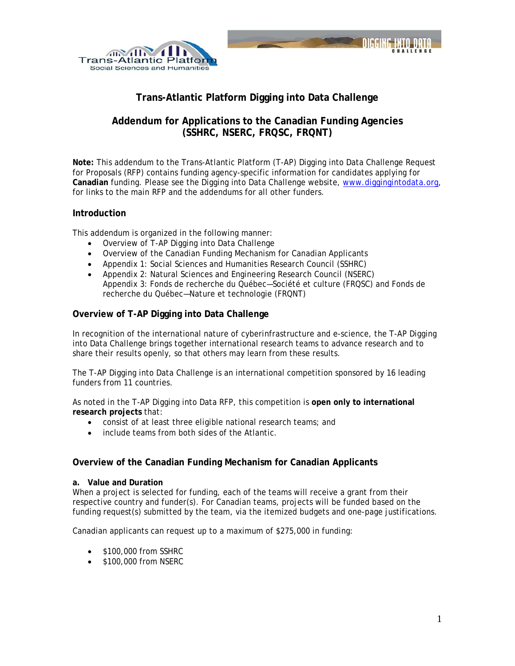



# **Trans-Atlantic Platform Digging into Data Challenge**

## **Addendum for Applications to the Canadian Funding Agencies (SSHRC, NSERC, FRQSC, FRQNT)**

**Note:** This addendum to the Trans-Atlantic Platform (T-AP) Digging into Data Challenge Request for Proposals (RFP) contains funding agency-specific information for candidates applying for **Canadian** funding. Please see the Digging into Data Challenge website, [www.diggingintodata.org,](http://www.diggingintodata.org/) for links to the main RFP and the addendums for all other funders.

## **Introduction**

This addendum is organized in the following manner:

- Overview of T-AP Digging into Data Challenge
- Overview of the Canadian Funding Mechanism for Canadian Applicants
- Appendix 1: Social Sciences and Humanities Research Council (SSHRC)
- Appendix 2: Natural Sciences and Engineering Research Council (NSERC) Appendix 3: Fonds de recherche du Québec—Société et culture (FRQSC) and Fonds de recherche du Québec—Nature et technologie (FRQNT)

## **Overview of T-AP Digging into Data Challenge**

In recognition of the international nature of cyberinfrastructure and e-science, the T-AP Digging into Data Challenge brings together international research teams to advance research and to share their results openly, so that others may learn from these results.

The T-AP Digging into Data Challenge is an international competition sponsored by 16 leading funders from 11 countries.

As noted in the T-AP Digging into Data RFP, this competition is **open only to international research projects** that:

- consist of at least three eligible national research teams; and
- include teams from both sides of the Atlantic.

## **Overview of the Canadian Funding Mechanism for Canadian Applicants**

#### **a. Value and Duration**

When a project is selected for funding, each of the teams will receive a grant from their respective country and funder(s). For Canadian teams, projects will be funded based on the funding request(s) submitted by the team, via the itemized budgets and one-page justifications.

Canadian applicants can request up to a maximum of \$275,000 in funding:

- \$100,000 from SSHRC
- \$100,000 from NSERC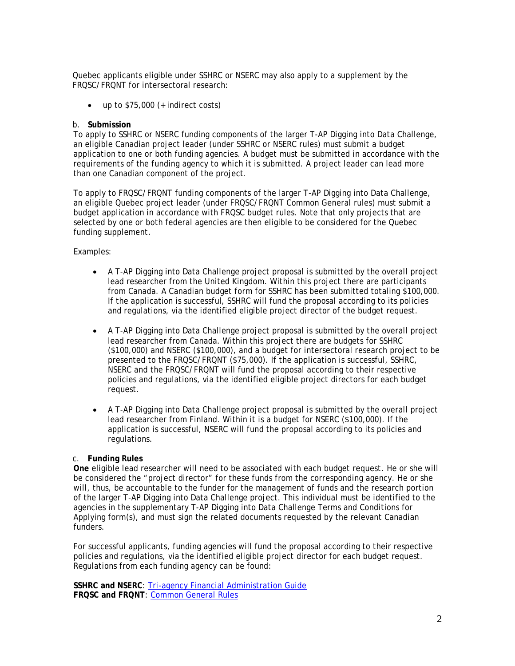Quebec applicants eligible under SSHRC or NSERC may also apply to a supplement by the FRQSC/FRQNT for intersectoral research:

up to  $$75,000$  (+ indirect costs)

#### b. **Submission**

To apply to SSHRC or NSERC funding components of the larger T-AP Digging into Data Challenge, an eligible Canadian project leader (under SSHRC or NSERC rules) must submit a budget application to one or both funding agencies. A budget must be submitted in accordance with the requirements of the funding agency to which it is submitted. A project leader can lead more than one Canadian component of the project.

To apply to FRQSC/FRQNT funding components of the larger T-AP Digging into Data Challenge, an eligible Quebec project leader (under FRQSC/FRQNT Common General rules) must submit a budget application in accordance with FRQSC budget rules. Note that only projects that are selected by one or both federal agencies are then eligible to be considered for the Quebec funding supplement.

Examples:

- A T-AP Digging into Data Challenge project proposal is submitted by the overall project lead researcher from the United Kingdom. Within this project there are participants from Canada. A Canadian budget form for SSHRC has been submitted totaling \$100,000. If the application is successful, SSHRC will fund the proposal according to its policies and regulations, via the identified eligible project director of the budget request.
- A T-AP Digging into Data Challenge project proposal is submitted by the overall project lead researcher from Canada. Within this project there are budgets for SSHRC (\$100,000) and NSERC (\$100,000), and a budget for intersectoral research project to be presented to the FRQSC/FRQNT (\$75,000). If the application is successful, SSHRC, NSERC and the FRQSC/FRQNT will fund the proposal according to their respective policies and regulations, via the identified eligible project directors for each budget request.
- A T-AP Digging into Data Challenge project proposal is submitted by the overall project lead researcher from Finland. Within it is a budget for NSERC (\$100,000). If the application is successful, NSERC will fund the proposal according to its policies and regulations.

#### c. **Funding Rules**

**One** eligible lead researcher will need to be associated with each budget request. He or she will be considered the "project director" for these funds from the corresponding agency. He or she will, thus, be accountable to the funder for the management of funds and the research portion of the larger T-AP Digging into Data Challenge project. This individual must be identified to the agencies in the supplementary T-AP Digging into Data Challenge Terms and Conditions for Applying form(s), and must sign the related documents requested by the relevant Canadian funders.

For successful applicants, funding agencies will fund the proposal according to their respective policies and regulations, via the identified eligible project director for each budget request. Regulations from each funding agency can be found:

**SSHRC and NSERC**: [Tri-agency Financial Administration Guide](http://www.nserc-crsng.gc.ca/Professors-Professeurs/FinancialAdminGuide-GuideAdminFinancier/index_eng.asp) **FRQSC and FRQNT**: [Common General Rules](http://www.frqsc.gouv.qc.ca/documents/10191/0/RGC_ENG_2016-17_V0.pdf/14bbae78-5a1c-47d6-a23b-c694858782e9)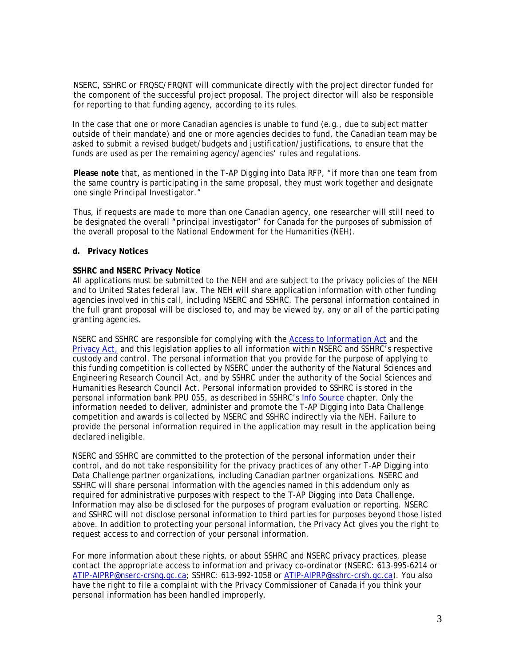NSERC, SSHRC or FRQSC/FRQNT will communicate directly with the project director funded for the component of the successful project proposal. The project director will also be responsible for reporting to that funding agency, according to its rules.

In the case that one or more Canadian agencies is unable to fund (e.g., due to subject matter outside of their mandate) and one or more agencies decides to fund, the Canadian team may be asked to submit a revised budget/budgets and justification/justifications, to ensure that the funds are used as per the remaining agency/agencies' rules and regulations.

**Please note** that, as mentioned in the T-AP Digging into Data RFP, "if more than one team from the same country is participating in the same proposal, they must work together and designate one single Principal Investigator."

Thus, if requests are made to more than one Canadian agency, one researcher will still need to be designated the overall "principal investigator" for Canada for the purposes of submission of the overall proposal to the National Endowment for the Humanities (NEH).

#### **d. Privacy Notices**

#### **SSHRC and NSERC Privacy Notice**

All applications must be submitted to the NEH and are subject to the privacy policies of the NEH and to United States federal law. The NEH will share application information with other funding agencies involved in this call, including NSERC and SSHRC. The personal information contained in the full grant proposal will be disclosed to, and may be viewed by, any or all of the participating granting agencies.

NSERC and SSHRC are responsible for complying with the *[Access to Information Act](http://laws-lois.justice.gc.ca/eng/acts/A-1/)* and the *[Privacy Act,](http://laws-lois.justice.gc.ca/eng/acts/P-21/)* and this legislation applies to all information within NSERC and SSHRC's respective custody and control. The personal information that you provide for the purpose of applying to this funding competition is collected by NSERC under the authority of the *Natural Sciences and Engineering Research Council Act*, and by SSHRC under the authority of the *Social Sciences and Humanities Research Council Act*. Personal information provided to SSHRC is stored in the personal information bank PPU 055, as described in SSHRC's [Info Source](http://www.sshrc-crsh.gc.ca/transparency-transparence/atip-aiprp/infosource-eng.aspx) chapter. Only the information needed to deliver, administer and promote the T-AP Digging into Data Challenge competition and awards is collected by NSERC and SSHRC indirectly via the NEH. Failure to provide the personal information required in the application may result in the application being declared ineligible.

NSERC and SSHRC are committed to the protection of the personal information under their control, and do not take responsibility for the privacy practices of any other T-AP Digging into Data Challenge partner organizations, including Canadian partner organizations. NSERC and SSHRC will share personal information with the agencies named in this addendum only as required for administrative purposes with respect to the T-AP Digging into Data Challenge. Information may also be disclosed for the purposes of program evaluation or reporting. NSERC and SSHRC will not disclose personal information to third parties for purposes beyond those listed above. In addition to protecting your personal information, the *Privacy Act* gives you the right to request access to and correction of your personal information.

For more information about these rights, or about SSHRC and NSERC privacy practices, please contact the appropriate access to information and privacy co-ordinator (NSERC: 613-995-6214 or [ATIP-AIPRP@nserc-crsng.gc.ca;](mailto:ATIP-AIPRP@nserc-crsng.gc.ca) SSHRC: 613-992-1058 or [ATIP-AIPRP@sshrc-crsh.gc.ca\)](mailto:ATIP-AIPRP@sshrc-crsh.gc.ca). You also have the right to file a complaint with the Privacy Commissioner of Canada if you think your personal information has been handled improperly.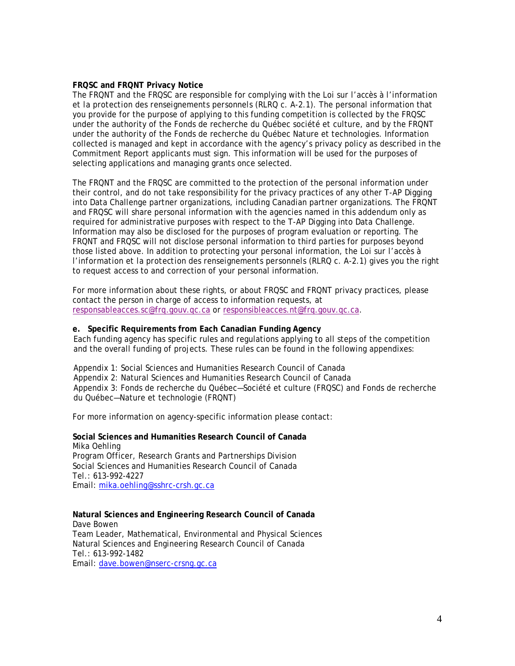#### **FRQSC and FRQNT Privacy Notice**

The FRQNT and the FRQSC are responsible for complying with the *Loi sur l'accès à l'information et la protection des renseignements personnels* (RLRQ c. A-2.1). The personal information that you provide for the purpose of applying to this funding competition is collected by the FRQSC under the authority of the Fonds de recherche du Québec société et culture, and by the FRQNT under the authority of the Fonds de recherche du Québec Nature et technologies. Information collected is managed and kept in accordance with the agency's privacy policy as described in the Commitment Report applicants must sign. This information will be used for the purposes of selecting applications and managing grants once selected.

The FRQNT and the FRQSC are committed to the protection of the personal information under their control, and do not take responsibility for the privacy practices of any other T-AP Digging into Data Challenge partner organizations, including Canadian partner organizations. The FRQNT and FRQSC will share personal information with the agencies named in this addendum only as required for administrative purposes with respect to the T-AP Digging into Data Challenge. Information may also be disclosed for the purposes of program evaluation or reporting. The FRQNT and FRQSC will not disclose personal information to third parties for purposes beyond those listed above. In addition to protecting your personal information, the *Loi sur l'accès à l'information et la protection des renseignements personnels* (RLRQ c. A-2.1) gives you the right to request access to and correction of your personal information.

For more information about these rights, or about FRQSC and FRQNT privacy practices, please contact the person in charge of access to information requests, at [responsableacces.sc@frq.gouv.qc.ca](mailto:responsableacces.sc@frq.gouv.qc.ca) or [responsibleacces.nt@frq.gouv.qc.ca.](mailto:responsibleacces.nt@frq.gouv.qc.ca)

#### **e. Specific Requirements from Each Canadian Funding Agency**

Each funding agency has specific rules and regulations applying to all steps of the competition and the overall funding of projects. These rules can be found in the following appendixes:

Appendix 1: Social Sciences and Humanities Research Council of Canada Appendix 2: Natural Sciences and Humanities Research Council of Canada Appendix 3: Fonds de recherche du Québec—Société et culture (FRQSC) and Fonds de recherche du Québec—Nature et technologie (FRQNT)

For more information on agency-specific information please contact:

**Social Sciences and Humanities Research Council of Canada** Mika Oehling Program Officer, Research Grants and Partnerships Division Social Sciences and Humanities Research Council of Canada Tel.: 613-992-4227 Email: [mika.oehling@sshrc-crsh.gc.ca](mailto:mika.oehling@sshrc-crsh.gc.ca)

#### **Natural Sciences and Engineering Research Council of Canada** Dave Bowen Team Leader, Mathematical, Environmental and Physical Sciences Natural Sciences and Engineering Research Council of Canada Tel.: 613-992-1482

Email: [dave.bowen@nserc-crsng.gc.ca](mailto:dave.bowen@nserc-crsng.gc.ca)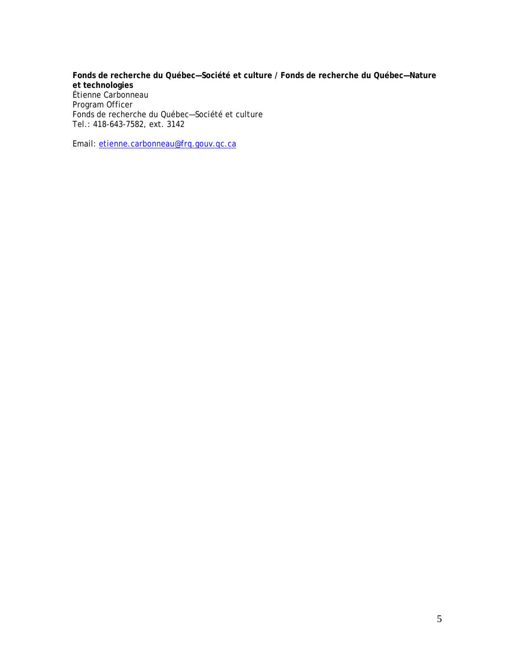**Fonds de recherche du Québec—Société et culture / Fonds de recherche du Québec—Nature et technologies** Étienne Carbonneau Program Officer Fonds de recherche du Québec—Société et culture Tel.: 418-643-7582, ext. 3142

Email: [etienne.carbonneau@frq.gouv.qc.ca](mailto:etienne.carbonneau@frq.gouv.qc.ca)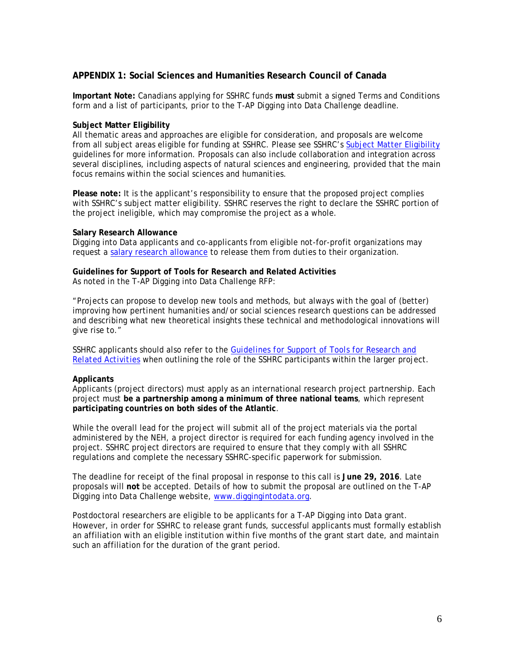## **APPENDIX 1: Social Sciences and Humanities Research Council of Canada**

**Important Note:** Canadians applying for SSHRC funds **must** submit a signed Terms and Conditions form and a list of participants, prior to the T-AP Digging into Data Challenge deadline.

#### **Subject Matter Eligibility**

All thematic areas and approaches are eligible for consideration, and proposals are welcome from all subject areas eligible for funding at SSHRC. Please see SSHRC's [Subject Matter Eligibility](http://www.sshrc-crsh.gc.ca/funding-financement/apply-demande/background-renseignements/selecting_agency-choisir_organisme_subventionnaire-eng.aspx#af2) guidelines for more information. Proposals can also include collaboration and integration across several disciplines, including aspects of natural sciences and engineering, provided that the main focus remains within the social sciences and humanities.

**Please note:** It is the applicant's responsibility to ensure that the proposed project complies with SSHRC's subject matter eligibility. SSHRC reserves the right to declare the SSHRC portion of the project ineligible, which may compromise the project as a whole.

#### **Salary Research Allowance**

Digging into Data applicants and co-applicants from eligible not-for-profit organizations may request a [salary research allowance](http://www.sshrc-crsh.gc.ca/funding-financement/policies-politiques/g_stipends-s_indemnite-eng.aspx) to release them from duties to their organization.

# **Guidelines for Support of Tools for Research and Related Activities**

As noted in the T-AP Digging into Data Challenge RFP:

"Projects can propose to develop new tools and methods, but always with the goal of (better) improving how pertinent humanities and/or social sciences research questions can be addressed and describing what new theoretical insights these technical and methodological innovations will give rise to."

SSHRC applicants should also refer to the *[Guidelines for Support of Tools for Research and](http://www.sshrc-crsh.gc.ca/funding-financement/policies-politiques/support_tools_soutien_outils-eng.aspx)  [Related Activities](http://www.sshrc-crsh.gc.ca/funding-financement/policies-politiques/support_tools_soutien_outils-eng.aspx)* when outlining the role of the SSHRC participants within the larger project.

#### **Applicants**

Applicants (project directors) must apply as an international research project partnership. Each project must **be a partnership among a minimum of three national teams**, which represent **participating countries on both sides of the Atlantic**.

While the overall lead for the project will submit all of the project materials via the portal administered by the NEH, a project director is required for each funding agency involved in the project. SSHRC project directors are required to ensure that they comply with all SSHRC regulations and complete the necessary SSHRC-specific paperwork for submission.

The deadline for receipt of the final proposal in response to this call is **June 29, 2016**. Late proposals will **not** be accepted. Details of how to submit the proposal are outlined on the T-AP Digging into Data Challenge website, [www.diggingintodata.org.](http://www.diggingintodata.org/)

Postdoctoral researchers are eligible to be applicants for a T-AP Digging into Data grant. However, in order for SSHRC to release grant funds, successful applicants must formally establish an affiliation with an eligible institution within five months of the grant start date, and maintain such an affiliation for the duration of the grant period.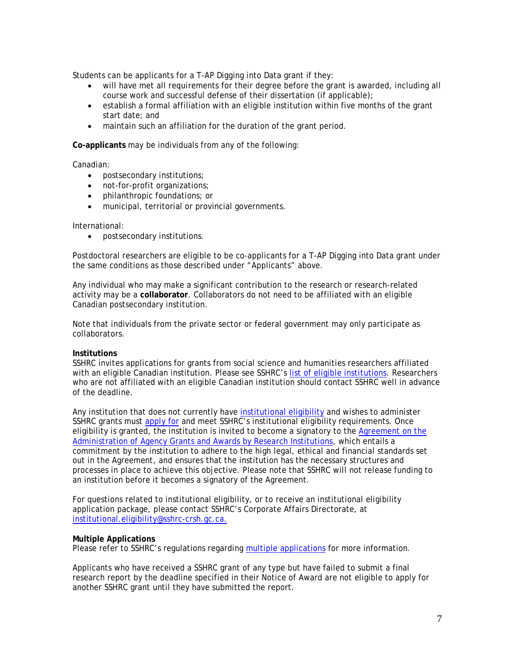Students can be applicants for a T-AP Digging into Data grant if they:

- will have met all requirements for their degree before the grant is awarded, including all course work and successful defense of their dissertation (if applicable);
- establish a formal affiliation with an eligible institution within five months of the grant start date; and
- maintain such an affiliation for the duration of the grant period.

**Co-applicants** may be individuals from any of the following:

Canadian:

- postsecondary institutions;
- not-for-profit organizations;
- philanthropic foundations; or
- municipal, territorial or provincial governments.

International:

• postsecondary institutions.

Postdoctoral researchers are eligible to be co-applicants for a T-AP Digging into Data grant under the same conditions as those described under "Applicants" above.

Any individual who may make a significant contribution to the research or research-related activity may be a **collaborator**. Collaborators do not need to be affiliated with an eligible Canadian postsecondary institution.

Note that individuals from the private sector or federal government may only participate as collaborators.

#### **Institutions**

SSHRC invites applications for grants from social science and humanities researchers affiliated with an eligible Canadian institution. Please see SSHRC's [list of eligible institutions.](http://www.sshrc-crsh.gc.ca/about-au_sujet/policies-politiques/statements-enonces/list_eligible_institutions-liste_etablissements-admissibles-eng.aspx) Researchers who are not affiliated with an eligible Canadian institution should contact SSHRC well in advance of the deadline.

Any institution that does not currently have [institutional eligibility](http://www.sshrc-crsh.gc.ca/about-au_sujet/policies-politiques/statements-enonces/institutional_eligibility-admissibilite_etablissements-eng.aspx) and wishes to administer SSHRC grants must [apply for](http://www.sshrc-crsh.gc.ca/about-au_sujet/policies-politiques/statements-enonces/institutional_eligibility-admissibilite_etablissements-eng.aspx#a1) and meet SSHRC's institutional eligibility requirements. Once eligibility is granted, the institution is invited to become a signatory to the [Agreement on the](http://www.science.gc.ca/Research_Funding_Collaboration/Policies_and_Guidelines/Institutional_Agreement-WS56B87BE5-1_En.htm)  [Administration of Agency Grants and Awards by Research Institutions,](http://www.science.gc.ca/Research_Funding_Collaboration/Policies_and_Guidelines/Institutional_Agreement-WS56B87BE5-1_En.htm) which entails a commitment by the institution to adhere to the high legal, ethical and financial standards set out in the Agreement, and ensures that the institution has the necessary structures and processes in place to achieve this objective. Please note that SSHRC will not release funding to an institution before it becomes a signatory of the Agreement.

For questions related to institutional eligibility, or to receive an institutional eligibility application package, please contact SSHRC's Corporate Affairs Directorate, at [institutional.eligibility@sshrc-crsh.gc.ca.](mailto:institutional.eligibility@sshrc-crsh.gc.ca)

#### **Multiple Applications**

Please refer to SSHRC's regulations regarding [multiple applications](http://www.sshrc-crsh.gc.ca/funding-financement/policies-politiques/multiple_apps-demandes_multiples-eng.aspx) for more information.

Applicants who have received a SSHRC grant of any type but have failed to submit a final research report by the deadline specified in their Notice of Award are not eligible to apply for another SSHRC grant until they have submitted the report.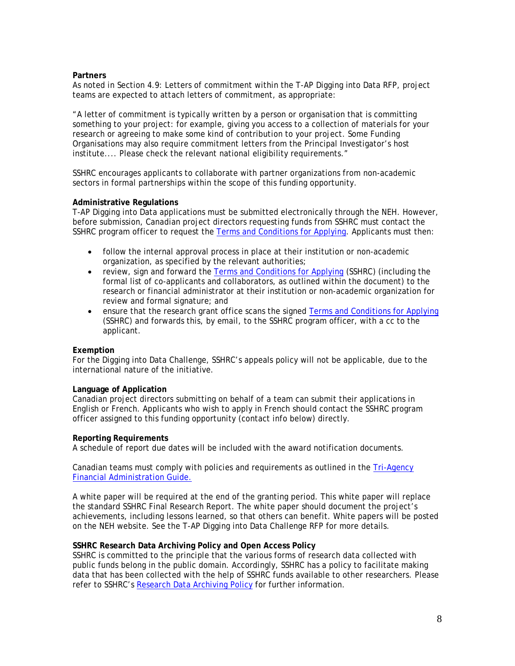#### **Partners**

As noted in Section 4.9: Letters of commitment within the T-AP Digging into Data RFP, project teams are expected to attach letters of commitment, as appropriate:

"A letter of commitment is typically written by a person or organisation that is committing something to your project: for example, giving you access to a collection of materials for your research or agreeing to make some kind of contribution to your project. Some Funding Organisations may also require commitment letters from the Principal Investigator's host institute.... Please check the relevant national eligibility requirements."

SSHRC encourages applicants to collaborate with partner organizations from non-academic sectors in formal partnerships within the scope of this funding opportunity.

#### **Administrative Regulations**

T-AP Digging into Data applications must be submitted electronically through the NEH. However, before submission, Canadian project directors requesting funds from SSHRC must contact the SSHRC program officer to request the [Terms and Conditions for Applying.](http://www.sshrc-crsh.gc.ca/funding-financement/forms-formulaires/pdf/DiD_Terms_and_Conditions-eng.pdf) Applicants must then:

- follow the internal approval process in place at their institution or non-academic organization, as specified by the relevant authorities;
- review, sign and forward the [Terms and Conditions for Applying](http://www.sshrc-crsh.gc.ca/funding-financement/forms-formulaires/pdf/DiD_Terms_and_Conditions-eng.pdf) (SSHRC) (including the formal list of co-applicants and collaborators, as outlined within the document) to the research or financial administrator at their institution or non-academic organization for review and formal signature; and
- ensure that the research grant office scans the signed [Terms and Conditions for Applying](http://www.sshrc-crsh.gc.ca/funding-financement/forms-formulaires/pdf/DiD_Terms_and_Conditions-eng.pdf) (SSHRC) and forwards this, by email, to the SSHRC program officer, with a cc to the applicant.

#### **Exemption**

For the Digging into Data Challenge, SSHRC's appeals policy will not be applicable, due to the international nature of the initiative.

#### **Language of Application**

Canadian project directors submitting on behalf of a team can submit their applications in English or French. Applicants who wish to apply in French should contact the SSHRC program officer assigned to this funding opportunity (contact info below) directly.

#### **Reporting Requirements**

A schedule of report due dates will be included with the award notification documents.

Canadian teams must comply with policies and requirements as outlined in the Tri-Agency [Financial Administration Guide.](http://www.nserc-crsng.gc.ca/Professors-Professeurs/FinancialAdminGuide-GuideAdminFinancier/index_eng.asp)

A white paper will be required at the end of the granting period. This white paper will replace the standard SSHRC Final Research Report. The white paper should document the project's achievements, including lessons learned, so that others can benefit. White papers will be posted on the NEH website. See the T-AP Digging into Data Challenge RFP for more details.

#### **SSHRC Research Data Archiving Policy and Open Access Policy**

SSHRC is committed to the principle that the various forms of research data collected with public funds belong in the public domain. Accordingly, SSHRC has a policy to facilitate making data that has been collected with the help of SSHRC funds available to other researchers. Please refer to SSHRC's [Research Data Archiving Policy](http://www.sshrc-crsh.gc.ca/about-au_sujet/policies-politiques/statements-enonces/edata-donnees_electroniques-eng.aspx) for further information.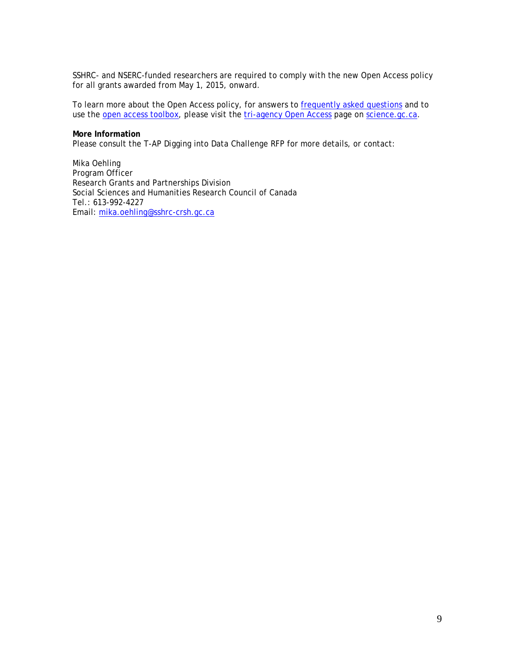SSHRC- and NSERC-funded researchers are required to comply with the new Open Access policy for all grants awarded from May 1, 2015, onward.

To learn more about the Open Access policy, for answers to **frequently asked questions** and to use the [open access toolbox,](http://www.science.gc.ca/default.asp?lang=En&n=ECEFDFAA-1) please visit the [tri-agency Open Access](http://www.science.gc.ca/default.asp?lang=En&n=75F21A63-1) page on [science.gc.ca.](http://www.science.gc.ca/)

#### **More Information**

Please consult the T-AP Digging into Data Challenge RFP for more details, or contact:

Mika Oehling Program Officer Research Grants and Partnerships Division Social Sciences and Humanities Research Council of Canada Tel.: 613-992-4227 Email: [mika.oehling@sshrc-crsh.gc.ca](mailto:mika.oehling@sshrc-crsh.gc.ca)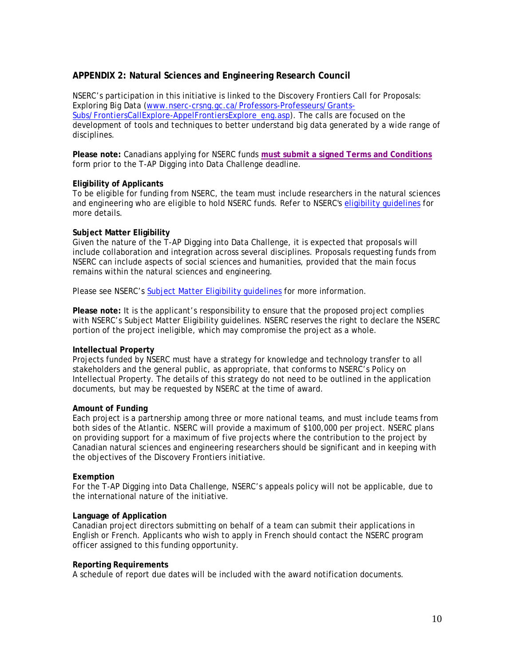## **APPENDIX 2: Natural Sciences and Engineering Research Council**

NSERC's participation in this initiative is linked to the Discovery Frontiers Call for Proposals: Exploring Big Data [\(www.nserc-crsng.gc.ca/Professors-Professeurs/Grants-](http://www.nserc-crsng.gc.ca/Professors-Professeurs/Grants-Subs/FrontiersCallExplore-AppelFrontiersExplore_eng.asp)[Subs/FrontiersCallExplore-AppelFrontiersExplore\\_eng.asp\)](http://www.nserc-crsng.gc.ca/Professors-Professeurs/Grants-Subs/FrontiersCallExplore-AppelFrontiersExplore_eng.asp). The calls are focused on the development of tools and techniques to better understand big data generated by a wide range of disciplines.

**Please note:** Canadians applying for NSERC funds **[must submit a signed Terms and Conditions](http://www.nserc-crsng.gc.ca/_doc/Professors-Professeurs/Form101-TC_e.pdf)** form prior to the T-AP Digging into Data Challenge deadline.

#### **Eligibility of Applicants**

To be eligible for funding from NSERC, the team must include researchers in the natural sciences and engineering who are eligible to hold NSERC funds. Refer to NSERC's [eligibility guidelines](http://www.nserc-crsng.gc.ca/NSERC-CRSNG/Eligibility-Admissibilite/faculty-corpsprof_eng.asp) for more details.

#### **Subject Matter Eligibility**

Given the nature of the T-AP Digging into Data Challenge, it is expected that proposals will include collaboration and integration across several disciplines. Proposals requesting funds from NSERC can include aspects of social sciences and humanities, provided that the main focus remains within the natural sciences and engineering.

Please see NSERC's [Subject Matter Eligibility guidelines](http://www.science.gc.ca/default.asp?lang=En&n=FEE7261A-1) for more information.

**Please note:** It is the applicant's responsibility to ensure that the proposed project complies with NSERC's Subject Matter Eligibility guidelines. NSERC reserves the right to declare the NSERC portion of the project ineligible, which may compromise the project as a whole.

#### **Intellectual Property**

Projects funded by NSERC must have a strategy for knowledge and technology transfer to all stakeholders and the general public, as appropriate, that conforms to NSERC's Policy on Intellectual Property. The details of this strategy do not need to be outlined in the application documents, but may be requested by NSERC at the time of award.

#### **Amount of Funding**

Each project is a partnership among three or more national teams, and must include teams from both sides of the Atlantic. NSERC will provide a maximum of \$100,000 per project. NSERC plans on providing support for a maximum of five projects where the contribution to the project by Canadian natural sciences and engineering researchers should be significant and in keeping with the objectives of the Discovery Frontiers initiative.

#### **Exemption**

For the T-AP Digging into Data Challenge, NSERC's appeals policy will not be applicable, due to the international nature of the initiative.

#### **Language of Application**

Canadian project directors submitting on behalf of a team can submit their applications in English or French. Applicants who wish to apply in French should contact the NSERC program officer assigned to this funding opportunity.

#### **Reporting Requirements**

A schedule of report due dates will be included with the award notification documents.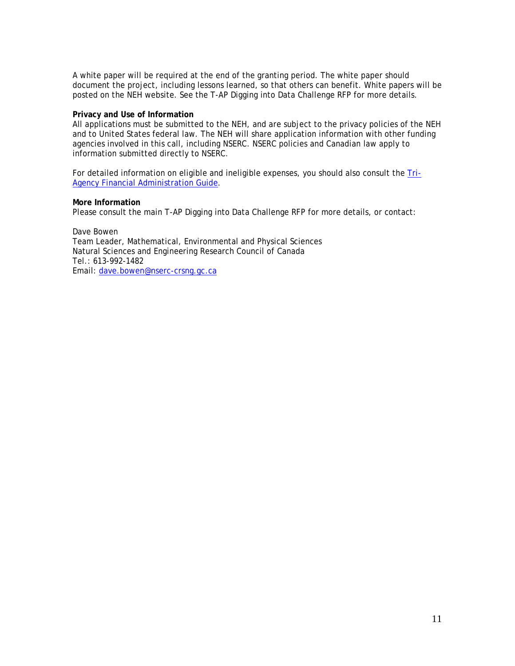A white paper will be required at the end of the granting period. The white paper should document the project, including lessons learned, so that others can benefit. White papers will be posted on the NEH website. See the T-AP Digging into Data Challenge RFP for more details.

#### **Privacy and Use of Information**

All applications must be submitted to the NEH, and are subject to the privacy policies of the NEH and to United States federal law. The NEH will share application information with other funding agencies involved in this call, including NSERC. NSERC policies and Canadian law apply to information submitted directly to NSERC.

For detailed information on eligible and ineligible expenses, you should also consult the [Tri-](http://www.nserc-crsng.gc.ca/Professors-Professeurs/FinancialAdminGuide-GuideAdminFinancier/index_eng.asp)[Agency Financial Administration Guide.](http://www.nserc-crsng.gc.ca/Professors-Professeurs/FinancialAdminGuide-GuideAdminFinancier/index_eng.asp)

#### **More Information**

Please consult the main T-AP Digging into Data Challenge RFP for more details, or contact:

Dave Bowen Team Leader, Mathematical, Environmental and Physical Sciences Natural Sciences and Engineering Research Council of Canada Tel.: 613-992-1482 Email: [dave.bowen@nserc-crsng.gc.ca](mailto:dave.bowen@nserc-crsng.gc.ca)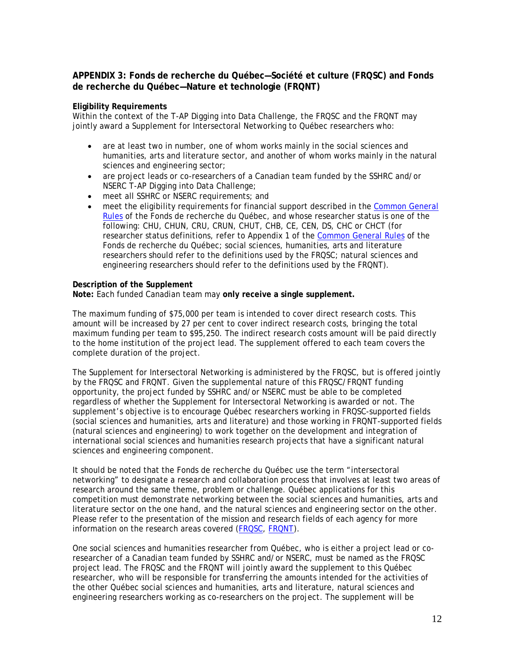## **APPENDIX 3: Fonds de recherche du Québec—Société et culture (FRQSC) and Fonds de recherche du Québec—Nature et technologie (FRQNT)**

#### **Eligibility Requirements**

Within the context of the T-AP Digging into Data Challenge, the FRQSC and the FRQNT may jointly award a Supplement for Intersectoral Networking to Québec researchers who:

- are at least two in number, one of whom works mainly in the social sciences and humanities, arts and literature sector, and another of whom works mainly in the natural sciences and engineering sector;
- are project leads or co-researchers of a Canadian team funded by the SSHRC and/or NSERC T-AP Digging into Data Challenge;
- meet all SSHRC or NSERC requirements; and
- meet the eligibility requirements for financial support described in the [Common General](http://www.frqsc.gouv.qc.ca/documents/10191/0/RGC+version+du+30+juin+2014_EN_vf_M.pdf/74cefb46-b592-4efd-a9db-d549aeb6b59c)  [Rules](http://www.frqsc.gouv.qc.ca/documents/10191/0/RGC+version+du+30+juin+2014_EN_vf_M.pdf/74cefb46-b592-4efd-a9db-d549aeb6b59c) of the Fonds de recherche du Québec, and whose researcher status is one of the following: CHU, CHUN, CRU, CRUN, CHUT, CHB, CE, CEN, DS, CHC or CHCT (for researcher status definitions, refer to Appendix 1 of the [Common General Rules](http://www.frqsc.gouv.qc.ca/documents/10191/0/RGC+version+du+30+juin+2014_EN_vf_M.pdf/74cefb46-b592-4efd-a9db-d549aeb6b59c) of the Fonds de recherche du Québec; social sciences, humanities, arts and literature researchers should refer to the definitions used by the FRQSC; natural sciences and engineering researchers should refer to the definitions used by the FRQNT).

#### **Description of the Supplement**

**Note:** Each funded Canadian team may **only receive a single supplement.**

The maximum funding of \$75,000 per team is intended to cover direct research costs. This amount will be increased by 27 per cent to cover indirect research costs, bringing the total maximum funding per team to \$95,250. The indirect research costs amount will be paid directly to the home institution of the project lead. The supplement offered to each team covers the complete duration of the project.

The Supplement for Intersectoral Networking is administered by the FRQSC, but is offered jointly by the FRQSC and FRQNT. Given the supplemental nature of this FRQSC/FRQNT funding opportunity, the project funded by SSHRC and/or NSERC must be able to be completed regardless of whether the Supplement for Intersectoral Networking is awarded or not. The supplement's objective is to encourage Québec researchers working in FRQSC-supported fields (social sciences and humanities, arts and literature) and those working in FRQNT-supported fields (natural sciences and engineering) to work together on the development and integration of international social sciences and humanities research projects that have a significant natural sciences and engineering component.

It should be noted that the Fonds de recherche du Québec use the term "intersectoral networking" to designate a research and collaboration process that involves at least two areas of research around the same theme, problem or challenge. Québec applications for this competition must demonstrate networking between the social sciences and humanities, arts and literature sector on the one hand, and the natural sciences and engineering sector on the other. Please refer to the presentation of the mission and research fields of each agency for more information on the research areas covered [\(FRQSC,](http://www.frqsc.gouv.qc.ca/en/le-frqsc/mission-et-domaines-de-recherche) [FRQNT\)](http://www.frqnt.gouv.qc.ca/en/le-frqnt/mission-et-domaines-de-recherche).

One social sciences and humanities researcher from Québec, who is either a project lead or coresearcher of a Canadian team funded by SSHRC and/or NSERC, must be named as the FRQSC project lead. The FRQSC and the FRQNT will jointly award the supplement to this Québec researcher, who will be responsible for transferring the amounts intended for the activities of the other Québec social sciences and humanities, arts and literature, natural sciences and engineering researchers working as co-researchers on the project. The supplement will be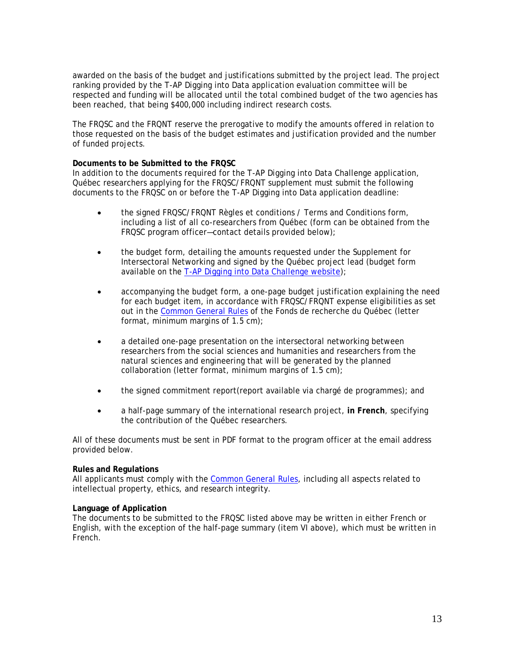awarded on the basis of the budget and justifications submitted by the project lead. The project ranking provided by the T-AP Digging into Data application evaluation committee will be respected and funding will be allocated until the total combined budget of the two agencies has been reached, that being \$400,000 including indirect research costs.

The FRQSC and the FRQNT reserve the prerogative to modify the amounts offered in relation to those requested on the basis of the budget estimates and justification provided and the number of funded projects.

#### **Documents to be Submitted to the FRQSC**

In addition to the documents required for the T-AP Digging into Data Challenge application, Québec researchers applying for the FRQSC/FRQNT supplement must submit the following documents to the FRQSC on or before the T-AP Digging into Data application deadline:

- the signed FRQSC/FRQNT Règles et conditions / Terms and Conditions form, including a list of all co-researchers from Québec (form can be obtained from the FRQSC program officer—contact details provided below);
- the budget form, detailing the amounts requested under the Supplement for Intersectoral Networking and signed by the Québec project lead (budget form available on the [T-AP Digging into Data Challenge website\)](http://diggingintodata.org/);
- accompanying the budget form, a one-page budget justification explaining the need for each budget item, in accordance with FRQSC/FRQNT expense eligibilities as set out in the [Common General Rules](http://www.frqsc.gouv.qc.ca/documents/10191/0/RGC+version+du+30+juin+2014_EN_vf_M.pdf/74cefb46-b592-4efd-a9db-d549aeb6b59c) of the Fonds de recherche du Québec (letter format, minimum margins of 1.5 cm);
- a detailed one-page presentation on the intersectoral networking between researchers from the social sciences and humanities and researchers from the natural sciences and engineering that will be generated by the planned collaboration (letter format, minimum margins of 1.5 cm);
- the signed commitment report(report available via chargé de programmes); and
- a half-page summary of the international research project, **in French**, specifying the contribution of the Québec researchers.

All of these documents must be sent in PDF format to the program officer at the email address provided below.

#### **Rules and Regulations**

All applicants must comply with the [Common General Rules,](http://www.frqsc.gouv.qc.ca/documents/10191/0/RGC+version+du+30+juin+2014_EN_vf_M.pdf/74cefb46-b592-4efd-a9db-d549aeb6b59c) including all aspects related to intellectual property, ethics, and research integrity.

#### **Language of Application**

The documents to be submitted to the FRQSC listed above may be written in either French or English, with the exception of the half-page summary (item VI above), which must be written in French.